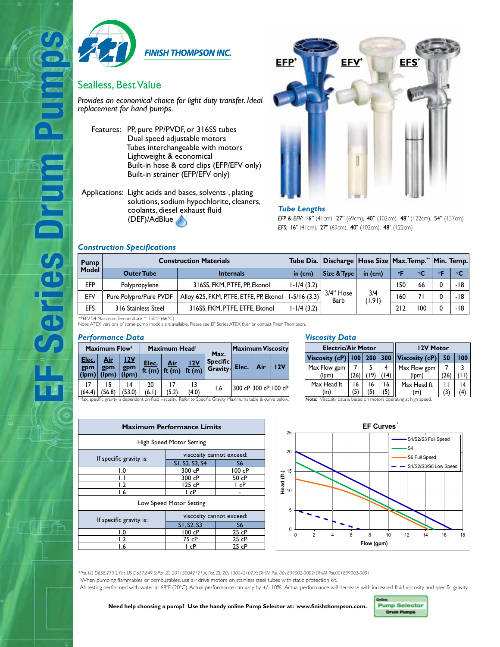

**FINISH THOMPSON INC.** 

## Sealless, Best Value

*Provides an economical choice for light duty transfer. Ideal replacement for hand pumps.*

- Features: PP, pure PP/PVDF, or 316SS tubes Dual speed adjustable motors Tubes interchangeable with motors Lightweight & economical Built-in hose & cord clips (EFP/EFV only) Built-in strainer (EFP/EFV only)
- Applications: Light acids and bases, solvents<sup>†</sup>, plating solutions, sodium hypochlorite, cleaners, coolants, diesel exhaust fluid (DEF)/AdBlue



### *Tube Lengths*

*EFP & EFV:* 16" (41cm), 27" (69cm), 40" (102cm), 48" (122cm), 54" (137cm) *EFS:* 16" (41cm), 27" (69cm), 40" (102cm), 48" (122cm)

### *Construction Specifications*

**EF Series Drum Pumps**

es Drum

| <b>Pump</b> | <b>Construction Materials</b> |                                        |                  |                     | Tube Dia.   Discharge   Hose Size   Max. Temp."   Min. Temp. |            |     |            |        |
|-------------|-------------------------------|----------------------------------------|------------------|---------------------|--------------------------------------------------------------|------------|-----|------------|--------|
| Model       | <b>Outer Tube</b>             | <b>Internals</b>                       |                  | Size & Type         | in $(cm)$                                                    | $^{\circ}$ | °C  | $^{\circ}$ | $\sim$ |
| <b>EFP</b>  | Polypropylene                 | 316SS, FKM, PTFE, PP, Ekonol           | $1-1/4(3.2)$     |                     | 3/4<br>(1.91)                                                | 50،        | 66  |            | -18    |
| EFV         | Pure Polypro/Pure PVDF        | Alloy 625, FKM, PTFE, ETFE, PP, Ekonol | $1 - 5/16$ (3.3) | $3/4"$ Hose<br>Barb |                                                              | 160        | 71  |            | -18    |
| EFS         | 316 Stainless Steel           | 316SS, FKM, PTFE, ETFE, Ekonol         | I-I/4 (3.2)      |                     |                                                              | 212        | 100 |            | -18    |

\*\*EFV-54 Maximum Temperature = 150°F (66°C) Note: ATEX versions of some pump models are available. Please see EF Series ATEX flyer or contact Finish Thompson.

#### *Performance Data*

| Maximum Flow          |                     |                     | Maximum Head <sup>1</sup> |                                             |             | Max.                              | Maximum Viscosity |                      |     |  |
|-----------------------|---------------------|---------------------|---------------------------|---------------------------------------------|-------------|-----------------------------------|-------------------|----------------------|-----|--|
| Elec.<br>gpm<br>(lpm) | Air<br>gpm<br>(lpm) | 12V<br>gpm<br>(lpm) | Elec.                     | Air<br>ft (m) $\vert$ ft (m) $\vert$ ft (m) | 12V         | <b>Specific</b><br>Gravity: Elec. |                   | Air                  | 12V |  |
| (64.4)<br>AA          | (56.8)              | 14<br>(53.0)        | 20<br>(6.1)               | (5.2)                                       | 13<br>(4.0) | 1.6                               |                   | 300 cP 300 cP 100 cP |     |  |

**Maximum Performance Limits**  High Speed Motor Setting

If specific gravity is: viscosity cannot exceed:<br>
SI, S2, S3, S4 S6

Low Speed Motor Setting

If specific gravity is: viscosity cannot exceed:<br>
SI.S2.S3 S6

1.0 100 cP 25 cP<br>1.2 75 cP 25 cP  $\frac{75 \text{ cP}}{1 \text{ cP}}$ <u>1.6 | IcP | 25 cP</u>

1.6 1 cP -

 $\frac{S1, S2, S3, S4}{300 \text{ }cP}$ 1.0 300 cP 100 cP 1.1 300 cP 50 cP<br>1.2 125 cP 1 cP  $125$  cP

 $\begin{array}{|c|c|c|c|}\n\hline\nS1, S2, S3 & S6 \\
\hline\n100 cP & 25 cP\n\end{array}$ 

*Viscosity Data*

| <b>Electric/Air Motor</b> | 12V Motor |     |               |                       |    |      |
|---------------------------|-----------|-----|---------------|-----------------------|----|------|
| Viscosity (cP)   $100$    |           | 200 | $ 300\rangle$ | Viscosity $(cP)$      | 50 | l 00 |
| Max Flow gpm<br>(lom)     |           |     |               | Max Flow gpm<br>(lom) | 26 |      |
| Max Head ft<br>(m'        | 16        | 16  | 16            | Max Head ft.<br>(m    | 3) |      |

#Max. specific gravity is dependent on fluid viscosity. Refer to Specific Gravity Maximums table & curve below. Note: Viscosity data is based on motors operating at high speed.



*\*Pat. US D658,273 S; Pat. US D657,849 S; Pat. ZL 201130042121.X; Pat. ZL 201130042107.X; OHIM Pat. 001839002-0002; OHIM Pat.001839002-0001* † When pumping flammables or combustibles, use air drive motors on stainless steel tubes with static protection kit. 'All testing performed with water at 68°F (20°C). Actual performance can vary by +/- 10%. Actual performance will decrease with increased fluid viscosity and specific gravity.

**Need help choosing a pump? Use the handy online Pump Selector at: www.finishthompson.com.**